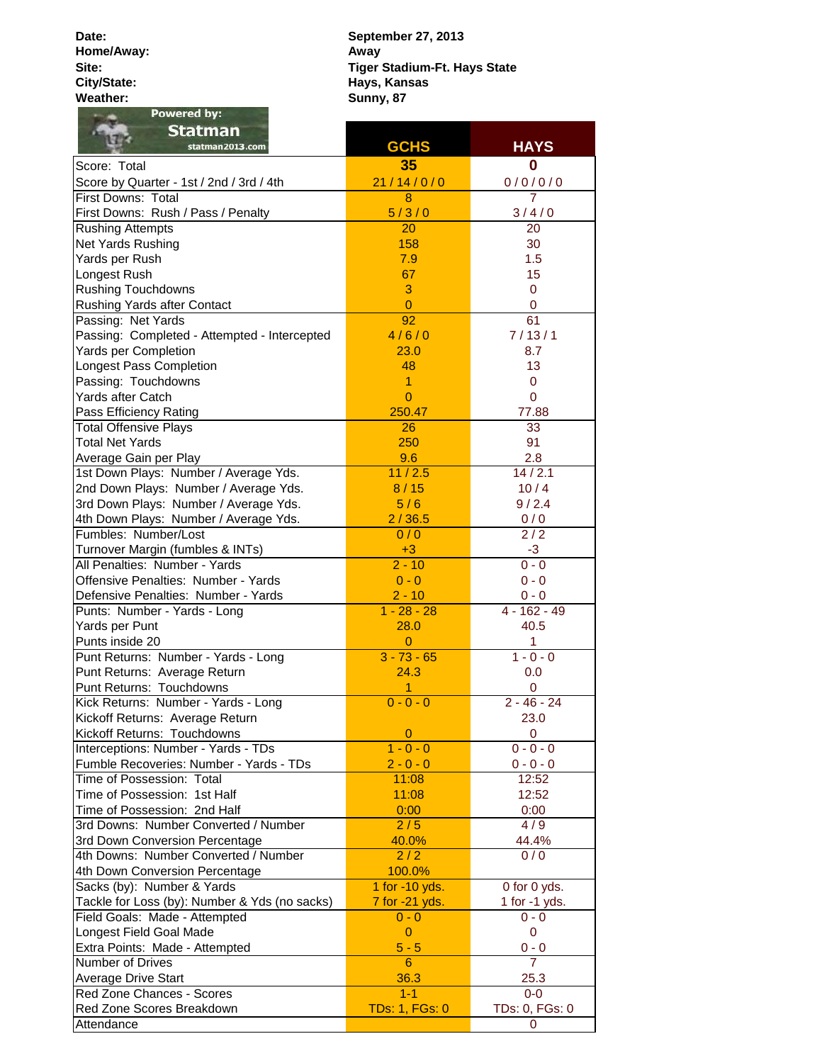**Date: Home/Away: Site: City/State: Weather:**

**Sunny, 87 September 27, 2013 Away Tiger Stadium-Ft. Hays State Hays, Kansas**

| Powered by:                                   |                       |                     |
|-----------------------------------------------|-----------------------|---------------------|
| <b>Statman</b>                                |                       |                     |
| statman2013.com                               | <b>GCHS</b>           | <b>HAYS</b>         |
| Score: Total                                  | 35                    | 0                   |
| Score by Quarter - 1st / 2nd / 3rd / 4th      | 21/14/0/0             | 0/0/0/0             |
| First Downs: Total                            | $\overline{8}$        |                     |
| First Downs: Rush / Pass / Penalty            | 5/3/0                 | 3/4/0               |
| <b>Rushing Attempts</b>                       | 20                    | 20                  |
| Net Yards Rushing                             | 158                   | 30                  |
| Yards per Rush                                | 7.9                   | 1.5                 |
| Longest Rush                                  | 67                    | 15                  |
| <b>Rushing Touchdowns</b>                     | 3                     | $\mathbf 0$         |
| Rushing Yards after Contact                   | $\overline{0}$        | 0                   |
| Passing: Net Yards                            | 92                    | 61                  |
| Passing: Completed - Attempted - Intercepted  | 4/6/0                 | 7/13/1              |
| Yards per Completion                          | 23.0                  | 8.7                 |
| Longest Pass Completion                       | 48                    | 13                  |
| Passing: Touchdowns                           | 1                     | 0                   |
| Yards after Catch                             | $\overline{0}$        | $\mathbf 0$         |
| Pass Efficiency Rating                        | 250.47                | 77.88               |
| <b>Total Offensive Plays</b>                  | 26                    | 33                  |
| <b>Total Net Yards</b>                        | 250                   | 91                  |
| Average Gain per Play                         | 9.6                   | 2.8                 |
| 1st Down Plays: Number / Average Yds.         | 11/2.5                | $\frac{1}{4}$ / 2.1 |
| 2nd Down Plays: Number / Average Yds.         | 8/15                  | 10/4                |
| 3rd Down Plays: Number / Average Yds.         | 5/6                   | 9/2.4               |
| 4th Down Plays: Number / Average Yds.         | 2/36.5                | 0/0                 |
| Fumbles: Number/Lost                          | 0/0                   | 2/2                 |
| Turnover Margin (fumbles & INTs)              | $+3$                  | $-3$                |
| All Penalties: Number - Yards                 | $2 - 10$              | $0 - 0$             |
| Offensive Penalties: Number - Yards           | $0 - 0$               | $0 - 0$             |
| Defensive Penalties: Number - Yards           | $2 - 10$              | $0 - 0$             |
| Punts: Number - Yards - Long                  | $1 - 28 - 28$         | $4 - 162 - 49$      |
| Yards per Punt                                | 28.0                  | 40.5                |
| Punts inside 20                               | $\overline{0}$        | 1                   |
| Punt Returns: Number - Yards - Long           | $3 - 73 - 65$         | $1 - 0 - 0$         |
| Punt Returns: Average Return                  | 24.3                  | 0.0                 |
| Punt Returns: Touchdowns                      | 1                     | 0                   |
| Kick Returns: Number - Yards - Long           | $0 - 0 - 0$           | $2 - 46 - 24$       |
| Kickoff Returns: Average Return               |                       | 23.0                |
| Kickoff Returns: Touchdowns                   | $\mathbf 0$           | 0                   |
| Interceptions: Number - Yards - TDs           | $1 - 0 - 0$           | $0 - 0 - 0$         |
| Fumble Recoveries: Number - Yards - TDs       | $2 - 0 - 0$           | $0 - 0 - 0$         |
| Time of Possession: Total                     | 11:08                 | 12:52               |
| Time of Possession: 1st Half                  | 11:08                 | 12:52               |
| Time of Possession: 2nd Half                  | 0:00                  | 0:00                |
| 3rd Downs: Number Converted / Number          | 2/5                   | 4/9                 |
| 3rd Down Conversion Percentage                | 40.0%                 | 44.4%               |
| 4th Downs: Number Converted / Number          | 2/2                   | 0/0                 |
| 4th Down Conversion Percentage                | 100.0%                |                     |
| Sacks (by): Number & Yards                    | 1 for -10 yds.        | 0 for 0 yds.        |
| Tackle for Loss (by): Number & Yds (no sacks) | 7 for -21 yds.        | 1 for $-1$ yds.     |
| Field Goals: Made - Attempted                 | $0 - 0$               | $0 - 0$             |
| Longest Field Goal Made                       | $\overline{0}$        | 0                   |
| Extra Points: Made - Attempted                | $5 - 5$               | $0 - 0$             |
| Number of Drives                              | $6^{\circ}$           | $\overline{7}$      |
| <b>Average Drive Start</b>                    | 36.3                  | 25.3                |
| Red Zone Chances - Scores                     | $1 - 1$               | $0 - 0$             |
| Red Zone Scores Breakdown                     | <b>TDs: 1, FGs: 0</b> | TDs: 0, FGs: 0      |
| Attendance                                    |                       | 0                   |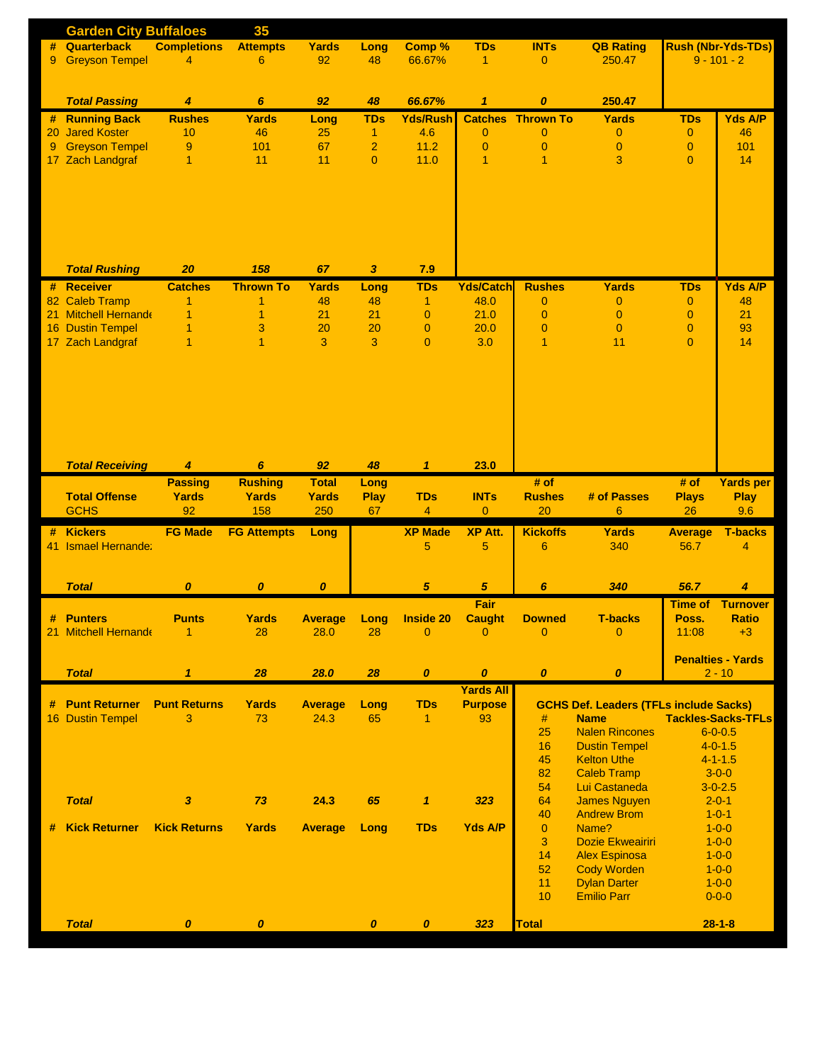|    | <b>Garden City Buffaloes</b> |                     | 35                 |                  |                  |                  |                  |                          |                                               |                           |                            |  |  |
|----|------------------------------|---------------------|--------------------|------------------|------------------|------------------|------------------|--------------------------|-----------------------------------------------|---------------------------|----------------------------|--|--|
| #  | Quarterback                  | <b>Completions</b>  | <b>Attempts</b>    | <b>Yards</b>     | Long             | Comp %           | <b>TDs</b>       | <b>INTs</b>              | <b>QB Rating</b>                              | <b>Rush (Nbr-Yds-TDs)</b> |                            |  |  |
| 9  | <b>Greyson Tempel</b>        | 4                   | 6                  | 92               | 48               | 66.67%           | $\mathbf{1}$     | $\overline{0}$           | 250.47                                        | $9 - 101 - 2$             |                            |  |  |
|    |                              |                     |                    |                  |                  |                  |                  |                          |                                               |                           |                            |  |  |
|    |                              |                     |                    |                  |                  |                  |                  |                          |                                               |                           |                            |  |  |
|    | <b>Total Passing</b>         | $\overline{4}$      | 6                  | 92               | 48               | 66.67%           | $\mathbf{1}$     | $\boldsymbol{o}$         | 250.47                                        |                           |                            |  |  |
| #  | <b>Running Back</b>          | <b>Rushes</b>       | <b>Yards</b>       | Long             | <b>TDs</b>       | <b>Yds/Rush</b>  |                  | <b>Catches Thrown To</b> | <b>Yards</b>                                  | <b>TDs</b>                | <b>Yds A/P</b>             |  |  |
| 20 | <b>Jared Koster</b>          | 10                  | 46                 | 25               | $\overline{1}$   | 4.6              | $\mathbf{0}$     | $\mathbf{0}$             | $\overline{0}$                                | $\mathbf{0}$              | 46                         |  |  |
| 9  | <b>Greyson Tempel</b>        | 9                   | 101                | 67               | $\overline{a}$   | 11.2             | $\theta$         | $\mathbf{0}$             | $\overline{0}$                                | $\overline{0}$            | 101                        |  |  |
|    | 17 Zach Landgraf             | 1                   | 11                 | 11               | $\overline{0}$   | 11.0             | 1                | $\mathbf{1}$             | 3                                             | $\overline{0}$            | 14                         |  |  |
|    |                              |                     |                    |                  |                  |                  |                  |                          |                                               |                           |                            |  |  |
|    |                              |                     |                    |                  |                  |                  |                  |                          |                                               |                           |                            |  |  |
|    |                              |                     |                    |                  |                  |                  |                  |                          |                                               |                           |                            |  |  |
|    |                              |                     |                    |                  |                  |                  |                  |                          |                                               |                           |                            |  |  |
|    |                              |                     |                    |                  |                  |                  |                  |                          |                                               |                           |                            |  |  |
|    |                              |                     |                    |                  |                  |                  |                  |                          |                                               |                           |                            |  |  |
|    |                              |                     |                    |                  |                  |                  |                  |                          |                                               |                           |                            |  |  |
|    | <b>Total Rushing</b>         | 20                  | 158                | 67               | 3                | 7.9              |                  |                          |                                               |                           |                            |  |  |
|    | # Receiver                   | <b>Catches</b>      | <b>Thrown To</b>   | <b>Yards</b>     | Long             | <b>TDs</b>       | <b>Yds/Catch</b> | <b>Rushes</b>            | <b>Yards</b>                                  | <b>TDs</b>                | <b>Yds A/P</b>             |  |  |
|    | 82 Caleb Tramp               | 1                   | 1                  | 48               | 48               | $\mathbf{1}$     | 48.0             | $\mathbf{0}$             | $\overline{0}$                                | $\mathbf{0}$              | 48                         |  |  |
|    | 21 Mitchell Hernande         | 1                   | 1                  | 21               | 21               | $\overline{0}$   | 21.0             | $\mathbf{0}$             | $\overline{0}$                                | $\mathbf{0}$              | 21                         |  |  |
|    | 16 Dustin Tempel             | 1                   | 3                  | 20               | 20               | $\overline{0}$   | 20.0             | $\mathbf{0}$             | $\mathbf{0}$                                  | $\overline{0}$            | 93                         |  |  |
|    | 17 Zach Landgraf             | 1                   | $\overline{1}$     | 3                | 3                | $\overline{0}$   | 3.0              | $\overline{1}$           | 11                                            | $\overline{0}$            | 14                         |  |  |
|    |                              |                     |                    |                  |                  |                  |                  |                          |                                               |                           |                            |  |  |
|    |                              |                     |                    |                  |                  |                  |                  |                          |                                               |                           |                            |  |  |
|    |                              |                     |                    |                  |                  |                  |                  |                          |                                               |                           |                            |  |  |
|    |                              |                     |                    |                  |                  |                  |                  |                          |                                               |                           |                            |  |  |
|    |                              |                     |                    |                  |                  |                  |                  |                          |                                               |                           |                            |  |  |
|    |                              |                     |                    |                  |                  |                  |                  |                          |                                               |                           |                            |  |  |
|    |                              |                     |                    |                  |                  |                  |                  |                          |                                               |                           |                            |  |  |
|    | <b>Total Receiving</b>       | $\overline{4}$      | 6                  | 92               | 48               | $\mathbf{1}$     | 23.0             |                          |                                               |                           |                            |  |  |
|    |                              | <b>Passing</b>      | <b>Rushing</b>     | <b>Total</b>     | Long             |                  |                  | # of                     |                                               | # of                      | <b>Yards per</b>           |  |  |
|    | <b>Total Offense</b>         | <b>Yards</b>        | <b>Yards</b>       | <b>Yards</b>     | <b>Play</b>      | <b>TDs</b>       | <b>INTs</b>      | <b>Rushes</b>            | # of Passes                                   | <b>Plays</b>              | <b>Play</b>                |  |  |
|    | <b>GCHS</b>                  | 92                  | 158                | 250              | 67               | $\overline{4}$   | $\overline{0}$   | 20                       | 6                                             | 26                        | 9.6                        |  |  |
|    |                              |                     |                    |                  |                  |                  |                  |                          |                                               |                           |                            |  |  |
| #  | <b>Kickers</b>               | <b>FG Made</b>      | <b>FG Attempts</b> | Long             |                  | <b>XP Made</b>   | <b>XP Att.</b>   | <b>Kickoffs</b>          | Yards                                         | <b>Average</b>            | <b>T-backs</b>             |  |  |
|    | 41 Ismael Hernande:          |                     |                    |                  |                  | 5                | 5                | 6                        | 340                                           | 56.7                      | 4                          |  |  |
|    |                              |                     |                    |                  |                  |                  |                  |                          |                                               |                           |                            |  |  |
|    |                              |                     |                    |                  |                  |                  |                  |                          |                                               |                           |                            |  |  |
|    | <b>Total</b>                 | $\boldsymbol{o}$    | $\boldsymbol{o}$   | $\boldsymbol{o}$ |                  | 5                | $\overline{5}$   | $\boldsymbol{6}$         | 340                                           | 56.7                      | 4                          |  |  |
|    |                              |                     |                    |                  |                  |                  | Fair             |                          |                                               | <b>Time of</b>            | <b>Turnover</b>            |  |  |
| #  | <b>Punters</b>               | <b>Punts</b>        | <b>Yards</b>       | <b>Average</b>   | Long             | <b>Inside 20</b> | <b>Caught</b>    | <b>Downed</b>            | <b>T-backs</b>                                | Poss.                     | <b>Ratio</b>               |  |  |
|    | 21 Mitchell Hernande         | 1                   | 28                 | 28.0             | 28               | $\overline{0}$   | $\overline{0}$   | $\overline{0}$           | $\overline{0}$                                | 11:08                     | $+3$                       |  |  |
|    |                              |                     |                    |                  |                  |                  |                  |                          |                                               |                           |                            |  |  |
|    |                              |                     |                    |                  |                  |                  |                  |                          |                                               |                           | <b>Penalties - Yards</b>   |  |  |
|    | <b>Total</b>                 | $\mathbf{1}$        | 28                 | 28.0             | 28               | $\boldsymbol{o}$ | $\pmb{o}$        | $\boldsymbol{o}$         | $\boldsymbol{0}$                              |                           | $2 - 10$                   |  |  |
|    |                              |                     |                    |                  |                  |                  | <b>Yards All</b> |                          |                                               |                           |                            |  |  |
| #  | <b>Punt Returner</b>         | <b>Punt Returns</b> | <b>Yards</b>       | <b>Average</b>   | Long             | <b>TDs</b>       | <b>Purpose</b>   |                          | <b>GCHS Def. Leaders (TFLs include Sacks)</b> |                           |                            |  |  |
|    | 16 Dustin Tempel             | 3                   | 73                 | 24.3             | 65               | $\mathbf{1}$     | 93               | #                        | <b>Name</b>                                   |                           | <b>Tackles-Sacks-TFLs</b>  |  |  |
|    |                              |                     |                    |                  |                  |                  |                  | 25                       | <b>Nalen Rincones</b>                         |                           | $6 - 0 - 0.5$              |  |  |
|    |                              |                     |                    |                  |                  |                  |                  | 16                       | <b>Dustin Tempel</b>                          |                           | $4 - 0 - 1.5$              |  |  |
|    |                              |                     |                    |                  |                  |                  |                  | 45                       | <b>Kelton Uthe</b>                            |                           | $4 - 1 - 1.5$              |  |  |
|    |                              |                     |                    |                  |                  |                  |                  | 82                       | <b>Caleb Tramp</b>                            |                           | $3 - 0 - 0$                |  |  |
|    |                              |                     |                    |                  |                  |                  |                  | 54                       | Lui Castaneda                                 |                           | $3 - 0 - 2.5$              |  |  |
|    | <b>Total</b>                 | $\boldsymbol{3}$    | 73                 | 24.3             | 65               | $\mathbf{1}$     | 323              | 64                       | <b>James Nguyen</b>                           |                           | $2 - 0 - 1$                |  |  |
|    |                              |                     |                    |                  |                  | <b>TDs</b>       |                  | 40                       | <b>Andrew Brom</b><br>Name?                   |                           | $1 - 0 - 1$                |  |  |
| #  | <b>Kick Returner</b>         | <b>Kick Returns</b> | <b>Yards</b>       | <b>Average</b>   | Long             |                  | <b>Yds A/P</b>   | $\overline{0}$<br>3      | Dozie Ekweairiri                              |                           | $1 - 0 - 0$<br>$1 - 0 - 0$ |  |  |
|    |                              |                     |                    |                  |                  |                  |                  | 14                       | <b>Alex Espinosa</b>                          |                           | $1 - 0 - 0$                |  |  |
|    |                              |                     |                    |                  |                  |                  |                  | 52                       | <b>Cody Worden</b>                            |                           |                            |  |  |
|    |                              |                     |                    |                  |                  |                  |                  | 11                       | <b>Dylan Darter</b>                           |                           | $1 - 0 - 0$<br>$1 - 0 - 0$ |  |  |
|    |                              |                     |                    |                  |                  |                  |                  | 10                       | <b>Emilio Parr</b>                            |                           | $0 - 0 - 0$                |  |  |
|    |                              |                     |                    |                  |                  |                  |                  |                          |                                               |                           |                            |  |  |
|    | <b>Total</b>                 | $\boldsymbol{o}$    | $\boldsymbol{o}$   |                  | $\boldsymbol{o}$ | $\boldsymbol{o}$ | 323              | <b>Total</b>             |                                               |                           | $28 - 1 - 8$               |  |  |
|    |                              |                     |                    |                  |                  |                  |                  |                          |                                               |                           |                            |  |  |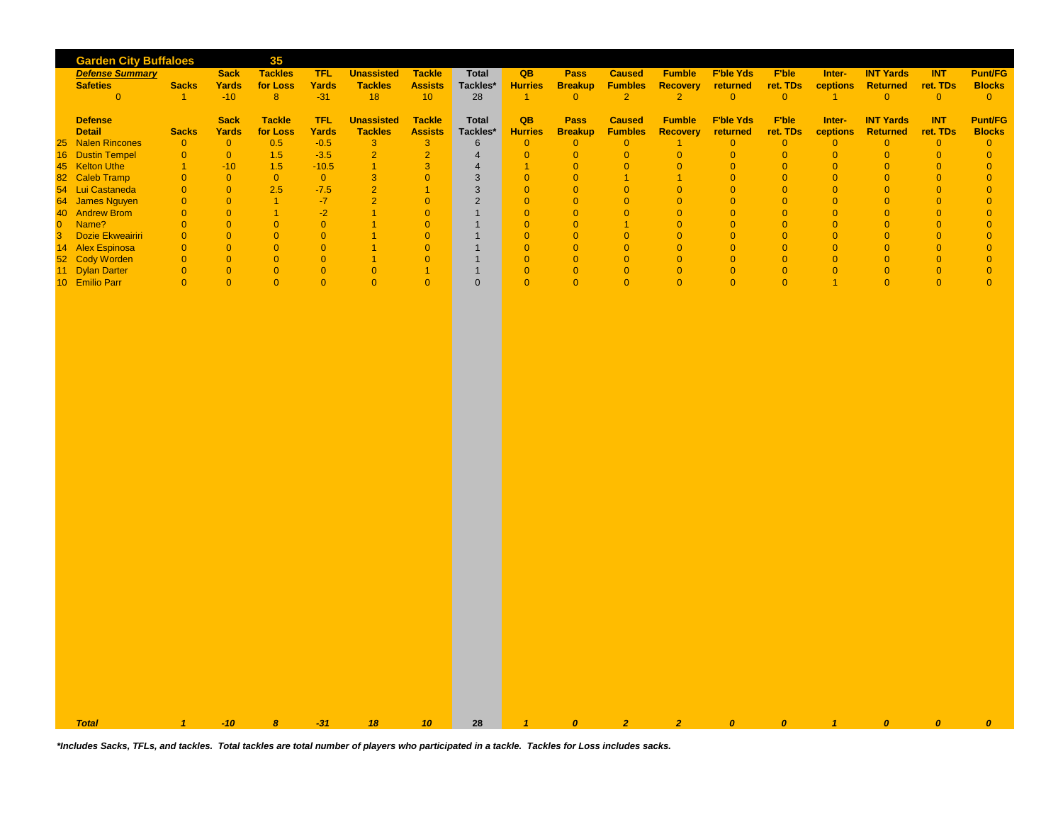|                                        |                                  |                                  | 35                    |                |                                  |                                        |                                |                                  |                            |                                  |                                  |                                  |                                  |                                  |                                  |                                  |                                  |
|----------------------------------------|----------------------------------|----------------------------------|-----------------------|----------------|----------------------------------|----------------------------------------|--------------------------------|----------------------------------|----------------------------|----------------------------------|----------------------------------|----------------------------------|----------------------------------|----------------------------------|----------------------------------|----------------------------------|----------------------------------|
| <b>Defense Summary</b>                 | <b>Garden City Buffaloes</b>     | <b>Sack</b>                      | <b>Tackles</b>        | <b>TFL</b>     | <b>Unassisted</b>                | Tackle                                 | <b>Total</b>                   | QB                               | <b>Pass</b>                | <b>Caused</b>                    | <b>Fumble</b>                    | <b>F'ble Yds</b>                 | <b>F'ble</b>                     | Inter-                           | <b>INT Yards</b>                 | <b>INT</b>                       | <b>Punt/FG</b>                   |
| <b>Safeties</b>                        | <b>Sacks</b>                     | <b>Yards</b>                     | for Loss              | <b>Yards</b>   | <b>Tackles</b>                   | <b>Assists</b>                         | Tackles*                       | <b>Hurries</b>                   | <b>Breakup</b>             | <b>Fumbles</b>                   | <b>Recovery</b>                  | returned                         | ret. TDs                         | ceptions                         | <b>Returned</b>                  | ret. TDs                         | <b>Blocks</b>                    |
| $\overline{0}$                         | $\vert$ 1                        | $-10$                            | 8 <sup>°</sup>        | $-31$          | 18                               | 10 <sup>°</sup>                        | 28                             | $\blacktriangleleft$             | $\overline{0}$             | $\overline{2}$                   | $\overline{2}$                   | $\overline{0}$                   | $\overline{0}$                   | $\vert$ 1                        | $\overline{0}$                   | $\overline{0}$                   | $\overline{0}$                   |
| <b>Defense</b>                         |                                  | <b>Sack</b>                      | <b>Tackle</b>         | <b>TFL</b>     | <b>Unassisted</b>                | <b>Tackle</b>                          | <b>Total</b>                   | QB                               | Pass                       | <b>Caused</b>                    | <b>Fumble</b>                    | <b>F'ble Yds</b>                 | <b>F'ble</b>                     | Inter-                           | <b>INT Yards</b>                 | <b>INT</b>                       | <b>Punt/FG</b>                   |
| <b>Detail</b>                          | <b>Sacks</b>                     | Yards                            | for Loss              | Yards          | <b>Tackles</b>                   | <b>Assists</b>                         | Tackles*                       | <b>Hurries</b>                   | <b>Breakup</b>             | <b>Fumbles</b>                   | <b>Recovery</b>                  | returned                         | ret. TDs                         | ceptions                         | <b>Returned</b>                  | ret. TDs                         | <b>Blocks</b>                    |
| <b>Nalen Rincones</b><br>25            | $\overline{0}$                   | $\overline{0}$                   | 0.5                   | $-0.5$         | $\mathbf{3}$                     | 3 <sup>°</sup>                         | $6\phantom{1}$                 | $\overline{0}$                   | $\overline{0}$             | $\overline{0}$                   | $\overline{1}$                   | $\overline{0}$                   | $\overline{0}$                   | $\overline{0}$                   | $\overline{0}$                   | $\overline{0}$                   | $\overline{0}$                   |
| 16<br><b>Dustin Tempel</b>             | $\overline{0}$                   | $\overline{0}$                   | 1.5                   | $-3.5$         | $\overline{2}$                   | $\overline{\mathbf{2}}$                | $\overline{4}$                 | $\overline{0}$                   | $\overline{0}$             | $\overline{0}$                   | $\overline{0}$                   | $\overline{0}$                   | $\overline{0}$                   | $\overline{0}$                   | $\overline{0}$                   | $\overline{0}$                   | $\overline{0}$                   |
| 45 Kelton Uthe                         | $\overline{1}$                   | $-10$                            | 1.5                   | $-10.5$        | $\overline{1}$                   | 3                                      | $\overline{4}$                 | $\overline{1}$                   | $\overline{0}$             | $\overline{0}$                   | $\overline{0}$                   | $\overline{0}$                   | $\overline{0}$                   | $\overline{0}$                   | $\overline{0}$                   | $\overline{0}$                   | $\overline{0}$                   |
| 82 Caleb Tramp                         | $\overline{0}$                   | $\overline{0}$                   | $\overline{0}$        | $\overline{0}$ | 3                                | $\overline{0}$                         | $\mathbf{3}$                   | $\overline{0}$                   | $\overline{0}$             | 1                                | $\overline{1}$                   | $\overline{0}$                   | $\overline{0}$                   | $\overline{0}$                   | $\overline{0}$                   | $\overline{0}$                   | $\overline{0}$                   |
| 54 Lui Castaneda<br>James Nguyen<br>64 | $\overline{0}$<br>$\overline{0}$ | $\overline{0}$<br>$\overline{0}$ | 2.5<br>$\overline{1}$ | $-7.5$<br>$-7$ | $\overline{2}$<br>$\overline{2}$ | $\blacktriangleleft$<br>$\overline{0}$ | $\mathbf{3}$<br>$\overline{2}$ | $\overline{0}$<br>$\overline{0}$ | $\Omega$<br>$\overline{0}$ | $\overline{0}$<br>$\overline{0}$ | $\overline{0}$<br>$\overline{0}$ | $\overline{0}$<br>$\overline{0}$ | $\overline{0}$<br>$\overline{0}$ | $\overline{0}$<br>$\overline{0}$ | $\overline{0}$<br>$\overline{0}$ | $\overline{0}$<br>$\overline{0}$ | $\overline{0}$<br>$\overline{0}$ |
| 40 Andrew Brom                         | $\overline{0}$                   | $\overline{0}$                   | $\overline{1}$        | $-2$           | $\mathbf{1}$                     | $\overline{0}$                         | $\mathbf{1}$                   | $\overline{0}$                   | $\overline{0}$             | $\overline{0}$                   | $\overline{0}$                   | $\overline{0}$                   | $\overline{0}$                   | $\overline{0}$                   | $\overline{0}$                   | $\overline{0}$                   | $\overline{0}$                   |
| $\overline{0}$<br>Name?                | $\overline{0}$                   | $\overline{0}$                   | $\overline{0}$        | $\overline{0}$ | $\mathbf{1}$                     | $\overline{0}$                         | $\mathbf{1}$                   | $\overline{0}$                   | $\overline{0}$             | $\overline{1}$                   | $\overline{0}$                   | $\overline{0}$                   | $\overline{0}$                   | $\overline{0}$                   | $\overline{0}$                   | $\overline{0}$                   | $\overline{0}$                   |
| 3<br>Dozie Ekweairiri                  | $\overline{0}$                   | $\overline{0}$                   | $\overline{0}$        | $\pmb{0}$      | $\mathbf{1}$                     | $\mathbf{0}$                           | $\mathbf{1}$                   | $\overline{0}$                   | $\overline{0}$             | $\overline{0}$                   | $\overline{0}$                   | $\overline{0}$                   | $\mathbf{0}$                     | $\overline{0}$                   | $\overline{0}$                   | $\overline{0}$                   | $\overline{0}$                   |
| 14 Alex Espinosa                       | $\overline{0}$                   | $\overline{0}$                   | $\overline{0}$        | $\overline{0}$ | $\overline{1}$                   | $\overline{0}$                         | $\mathbf{1}$                   | $\overline{0}$                   | $\overline{0}$             | $\overline{0}$                   | $\overline{0}$                   | $\overline{0}$                   | $\overline{0}$                   | $\overline{0}$                   | $\overline{0}$                   | $\overline{0}$                   | $\overline{0}$                   |
| 52 Cody Worden                         | $\overline{0}$                   | $\overline{0}$                   | $\overline{0}$        | $\overline{0}$ | $\overline{1}$                   | $\overline{0}$                         | $\mathbf{1}$                   | $\overline{0}$                   | $\overline{0}$             | $\overline{0}$                   | $\overline{0}$                   | $\overline{0}$                   | $\overline{0}$                   | $\overline{0}$                   | $\overline{0}$                   | $\overline{0}$                   | $\overline{0}$                   |
| 11 Dylan Darter                        | $\overline{0}$                   | $\overline{0}$                   | $\overline{0}$        | $\overline{0}$ | $\overline{0}$                   | $\overline{1}$                         | $\mathbf{1}$                   | $\overline{0}$                   | $\overline{0}$             | $\overline{0}$                   | $\overline{0}$                   | $\overline{0}$                   | $\overline{0}$                   | $\overline{0}$                   | $\overline{0}$                   | $\overline{0}$                   | $\overline{0}$                   |
| 10 Emilio Parr                         | $\overline{0}$                   | $\overline{0}$                   | $\overline{0}$        | $\overline{0}$ | $\overline{0}$                   | $\overline{0}$                         | $\mathbf{0}$                   | $\overline{0}$                   | $\overline{0}$             | $\overline{0}$                   | $\overline{0}$                   | $\overline{0}$                   | $\overline{0}$                   | $\mathbf{1}$                     | $\overline{0}$                   | $\overline{0}$                   | $\overline{0}$                   |
| <b>Total</b>                           | $\mathbf{1}$                     | $-10$                            | $\boldsymbol{8}$      | $-31$          | 18                               | 10 <sub>10</sub>                       | 28                             | $\mathbf{1}$                     | $\boldsymbol{0}$           | $\overline{2}$                   | $\overline{2}$                   | $\boldsymbol{o}$                 | $\boldsymbol{o}$                 | $\mathbf{1}$                     | $\boldsymbol{o}$                 | $\boldsymbol{0}$                 | $\boldsymbol{0}$                 |

*\*Includes Sacks, TFLs, and tackles. Total tackles are total number of players who participated in a tackle. Tackles for Loss includes sacks.*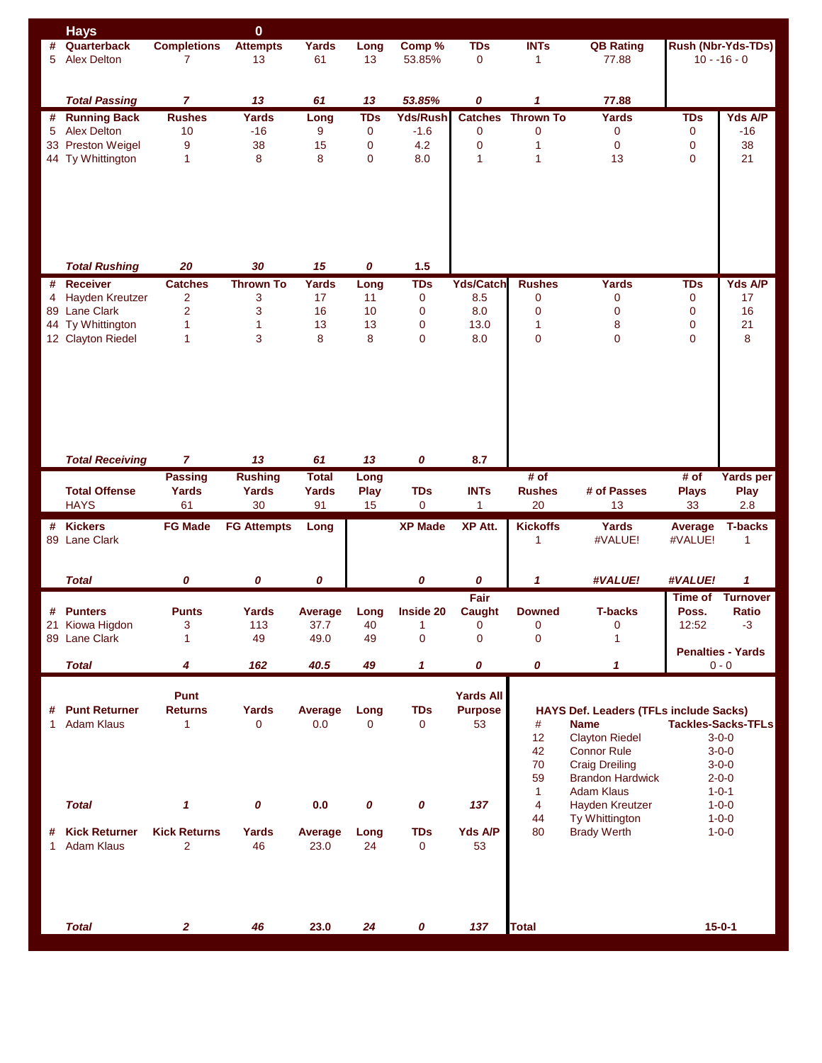| <b>Completions</b><br><b>INTs</b><br>Quarterback<br><b>Attempts</b><br><b>TDs</b><br><b>QB Rating</b><br>Rush (Nbr-Yds-TDs)<br>Yards<br>Long<br>Comp %<br>#<br><b>Alex Delton</b><br>13<br>61<br>$\mathbf 0$<br>$10 - 16 - 0$<br>5<br>7<br>13<br>53.85%<br>77.88<br>1<br><b>Total Passing</b><br>13<br>61<br>13<br>53.85%<br>0<br>1<br>77.88<br>7<br><b>Yds/Rush</b><br><b>TDs</b><br># Running Back<br><b>Rushes</b><br>Yards<br><b>TDs</b><br><b>Catches</b><br><b>Thrown To</b><br>Yards<br>Long<br>$-16$<br>5 Alex Delton<br>10<br>9<br>0<br>$-1.6$<br>0<br>0<br>0<br>0<br>-16<br>38<br>4.2<br>33 Preston Weigel<br>9<br>$\mathbf 0$<br>$\mathbf 0$<br>0<br>0<br>38<br>15<br>1<br>13<br>44 Ty Whittington<br>8<br>8<br>$\mathbf{0}$<br>8.0<br>$\mathbf{1}$<br>0<br>21<br>1<br>1<br><b>Total Rushing</b><br>20<br>30<br>15<br>0<br>1.5<br># Receiver<br><b>Catches</b><br>Yards<br><b>TDs</b><br><b>Yds/Catch</b><br><b>Rushes</b><br>Yards<br><b>TDs</b><br><b>Thrown To</b><br>Long<br><b>Hayden Kreutzer</b><br>$\overline{2}$<br>3<br>17<br>11<br>$\pmb{0}$<br>0<br>17<br>4<br>0<br>8.5<br>0<br>$\overline{2}$<br>89 Lane Clark<br>3<br>16<br>10<br>8.0<br>$\pmb{0}$<br>0<br>0<br>16<br>0<br>44 Ty Whittington<br>$\mathbf{1}$<br>$\mathbf{1}$<br>13<br>13<br>8<br>0<br>21<br>$\mathbf 0$<br>13.0<br>1<br>3<br>$\overline{0}$<br>$\mathbf 0$<br>8<br>12 Clayton Riedel<br>1<br>8<br>8<br>$\mathbf{0}$<br>8.0<br>0<br><b>Total Receiving</b><br>7<br>13<br>61<br>13<br>0<br>8.7<br><b>Rushing</b><br><b>Total</b><br># of<br># of<br><b>Passing</b><br>Long<br><b>INTs</b><br># of Passes<br><b>Total Offense</b><br>Yards<br>Yards<br>Play<br><b>TDs</b><br><b>Rushes</b><br><b>Plays</b><br>Yards<br><b>Play</b><br><b>HAYS</b><br>30<br>91<br>20<br>61<br>15<br>$\mathbf 0$<br>1<br>13<br>33<br>2.8<br><b>XP Made</b><br><b>XP Att.</b><br><b>Kickoffs</b><br><b>Kickers</b><br><b>FG Made</b><br><b>FG Attempts</b><br>Yards<br><b>T-backs</b><br>#<br>Long<br>Average<br>89 Lane Clark<br>#VALUE!<br>#VALUE!<br>1<br>1<br>0<br>0<br>0<br><b>Total</b><br>0<br>0<br>1<br>#VALUE!<br>$\mathbf{1}$<br>#VALUE!<br>Fair<br>Time of<br>Inside 20<br><b>T-backs</b><br><b>Ratio</b><br># Punters<br><b>Punts</b><br>Yards<br>Average<br>Long<br>Caught<br><b>Downed</b><br>Poss.<br>3<br>113<br>12:52<br>21 Kiowa Higdon<br>37.7<br>40<br>1<br>$\mathbf{0}$<br>0<br>$\mathbf 0$<br>$-3$<br>$\mathbf 0$<br>$\overline{0}$<br>$\mathbf 0$<br>$\mathbf{1}$<br>89 Lane Clark<br>49<br>49.0<br>49<br>1<br><b>Penalties - Yards</b><br>0<br>40.5<br>49<br>0<br><b>Total</b><br>4<br>162<br>1<br>1<br>$0 - 0$<br>Punt<br><b>Yards All</b><br># Punt Returner<br><b>Returns</b><br><b>Yards</b><br>Average<br><b>TDs</b><br><b>Purpose</b><br>HAYS Def. Leaders (TFLs include Sacks)<br>Long<br><b>Adam Klaus</b><br>$\mathbf{1}$<br>0<br>0.0<br>$\overline{0}$<br>53<br><b>Tackles-Sacks-TFLs</b><br>$\mathbf{1}$<br>0<br>#<br><b>Name</b><br>12<br><b>Clayton Riedel</b><br>$3 - 0 - 0$<br>42<br><b>Connor Rule</b><br>$3 - 0 - 0$<br>70<br><b>Craig Dreiling</b><br>$3 - 0 - 0$<br>59<br><b>Brandon Hardwick</b><br>$2 - 0 - 0$<br>$\mathbf{1}$<br><b>Adam Klaus</b><br>$1 - 0 - 1$<br>$\overline{4}$<br><b>Total</b><br>$\mathbf{1}$<br>0<br>0.0<br>0<br>0<br>137<br>Hayden Kreutzer<br>$1 - 0 - 0$<br>44<br>Ty Whittington<br>$1 - 0 - 0$<br><b>Kick Returns</b><br><b>TDs</b><br>80<br><b>Brady Werth</b><br><b>Kick Returner</b><br>Yards<br>Average<br>Long<br><b>Yds A/P</b><br>$1 - 0 - 0$<br>#<br>Adam Klaus<br>$\overline{2}$<br>46<br>24<br>23.0<br>$\mathbf 0$<br>53<br>1<br>$15 - 0 - 1$<br><b>Total</b><br>46<br>23.0<br>24<br>0<br>137<br><b>Total</b><br>$\mathbf{2}$ | <b>Hays</b> | $\bf{0}$ |  |  |  |  |                 |  |
|-------------------------------------------------------------------------------------------------------------------------------------------------------------------------------------------------------------------------------------------------------------------------------------------------------------------------------------------------------------------------------------------------------------------------------------------------------------------------------------------------------------------------------------------------------------------------------------------------------------------------------------------------------------------------------------------------------------------------------------------------------------------------------------------------------------------------------------------------------------------------------------------------------------------------------------------------------------------------------------------------------------------------------------------------------------------------------------------------------------------------------------------------------------------------------------------------------------------------------------------------------------------------------------------------------------------------------------------------------------------------------------------------------------------------------------------------------------------------------------------------------------------------------------------------------------------------------------------------------------------------------------------------------------------------------------------------------------------------------------------------------------------------------------------------------------------------------------------------------------------------------------------------------------------------------------------------------------------------------------------------------------------------------------------------------------------------------------------------------------------------------------------------------------------------------------------------------------------------------------------------------------------------------------------------------------------------------------------------------------------------------------------------------------------------------------------------------------------------------------------------------------------------------------------------------------------------------------------------------------------------------------------------------------------------------------------------------------------------------------------------------------------------------------------------------------------------------------------------------------------------------------------------------------------------------------------------------------------------------------------------------------------------------------------------------------------------------------------------------------------------------------------------------------------------------------------------------------------------------------------------------------------------------------------------------------------------------------------------------------------------------------------------------------------------------------------------------------------------------------------------------------------------------------------------------------------------------------------------------------------------------------------------------------------------------------|-------------|----------|--|--|--|--|-----------------|--|
|                                                                                                                                                                                                                                                                                                                                                                                                                                                                                                                                                                                                                                                                                                                                                                                                                                                                                                                                                                                                                                                                                                                                                                                                                                                                                                                                                                                                                                                                                                                                                                                                                                                                                                                                                                                                                                                                                                                                                                                                                                                                                                                                                                                                                                                                                                                                                                                                                                                                                                                                                                                                                                                                                                                                                                                                                                                                                                                                                                                                                                                                                                                                                                                                                                                                                                                                                                                                                                                                                                                                                                                                                                                                                     |             |          |  |  |  |  |                 |  |
|                                                                                                                                                                                                                                                                                                                                                                                                                                                                                                                                                                                                                                                                                                                                                                                                                                                                                                                                                                                                                                                                                                                                                                                                                                                                                                                                                                                                                                                                                                                                                                                                                                                                                                                                                                                                                                                                                                                                                                                                                                                                                                                                                                                                                                                                                                                                                                                                                                                                                                                                                                                                                                                                                                                                                                                                                                                                                                                                                                                                                                                                                                                                                                                                                                                                                                                                                                                                                                                                                                                                                                                                                                                                                     |             |          |  |  |  |  |                 |  |
|                                                                                                                                                                                                                                                                                                                                                                                                                                                                                                                                                                                                                                                                                                                                                                                                                                                                                                                                                                                                                                                                                                                                                                                                                                                                                                                                                                                                                                                                                                                                                                                                                                                                                                                                                                                                                                                                                                                                                                                                                                                                                                                                                                                                                                                                                                                                                                                                                                                                                                                                                                                                                                                                                                                                                                                                                                                                                                                                                                                                                                                                                                                                                                                                                                                                                                                                                                                                                                                                                                                                                                                                                                                                                     |             |          |  |  |  |  |                 |  |
|                                                                                                                                                                                                                                                                                                                                                                                                                                                                                                                                                                                                                                                                                                                                                                                                                                                                                                                                                                                                                                                                                                                                                                                                                                                                                                                                                                                                                                                                                                                                                                                                                                                                                                                                                                                                                                                                                                                                                                                                                                                                                                                                                                                                                                                                                                                                                                                                                                                                                                                                                                                                                                                                                                                                                                                                                                                                                                                                                                                                                                                                                                                                                                                                                                                                                                                                                                                                                                                                                                                                                                                                                                                                                     |             |          |  |  |  |  |                 |  |
|                                                                                                                                                                                                                                                                                                                                                                                                                                                                                                                                                                                                                                                                                                                                                                                                                                                                                                                                                                                                                                                                                                                                                                                                                                                                                                                                                                                                                                                                                                                                                                                                                                                                                                                                                                                                                                                                                                                                                                                                                                                                                                                                                                                                                                                                                                                                                                                                                                                                                                                                                                                                                                                                                                                                                                                                                                                                                                                                                                                                                                                                                                                                                                                                                                                                                                                                                                                                                                                                                                                                                                                                                                                                                     |             |          |  |  |  |  |                 |  |
|                                                                                                                                                                                                                                                                                                                                                                                                                                                                                                                                                                                                                                                                                                                                                                                                                                                                                                                                                                                                                                                                                                                                                                                                                                                                                                                                                                                                                                                                                                                                                                                                                                                                                                                                                                                                                                                                                                                                                                                                                                                                                                                                                                                                                                                                                                                                                                                                                                                                                                                                                                                                                                                                                                                                                                                                                                                                                                                                                                                                                                                                                                                                                                                                                                                                                                                                                                                                                                                                                                                                                                                                                                                                                     |             |          |  |  |  |  | Yds A/P         |  |
|                                                                                                                                                                                                                                                                                                                                                                                                                                                                                                                                                                                                                                                                                                                                                                                                                                                                                                                                                                                                                                                                                                                                                                                                                                                                                                                                                                                                                                                                                                                                                                                                                                                                                                                                                                                                                                                                                                                                                                                                                                                                                                                                                                                                                                                                                                                                                                                                                                                                                                                                                                                                                                                                                                                                                                                                                                                                                                                                                                                                                                                                                                                                                                                                                                                                                                                                                                                                                                                                                                                                                                                                                                                                                     |             |          |  |  |  |  |                 |  |
|                                                                                                                                                                                                                                                                                                                                                                                                                                                                                                                                                                                                                                                                                                                                                                                                                                                                                                                                                                                                                                                                                                                                                                                                                                                                                                                                                                                                                                                                                                                                                                                                                                                                                                                                                                                                                                                                                                                                                                                                                                                                                                                                                                                                                                                                                                                                                                                                                                                                                                                                                                                                                                                                                                                                                                                                                                                                                                                                                                                                                                                                                                                                                                                                                                                                                                                                                                                                                                                                                                                                                                                                                                                                                     |             |          |  |  |  |  |                 |  |
|                                                                                                                                                                                                                                                                                                                                                                                                                                                                                                                                                                                                                                                                                                                                                                                                                                                                                                                                                                                                                                                                                                                                                                                                                                                                                                                                                                                                                                                                                                                                                                                                                                                                                                                                                                                                                                                                                                                                                                                                                                                                                                                                                                                                                                                                                                                                                                                                                                                                                                                                                                                                                                                                                                                                                                                                                                                                                                                                                                                                                                                                                                                                                                                                                                                                                                                                                                                                                                                                                                                                                                                                                                                                                     |             |          |  |  |  |  |                 |  |
|                                                                                                                                                                                                                                                                                                                                                                                                                                                                                                                                                                                                                                                                                                                                                                                                                                                                                                                                                                                                                                                                                                                                                                                                                                                                                                                                                                                                                                                                                                                                                                                                                                                                                                                                                                                                                                                                                                                                                                                                                                                                                                                                                                                                                                                                                                                                                                                                                                                                                                                                                                                                                                                                                                                                                                                                                                                                                                                                                                                                                                                                                                                                                                                                                                                                                                                                                                                                                                                                                                                                                                                                                                                                                     |             |          |  |  |  |  |                 |  |
|                                                                                                                                                                                                                                                                                                                                                                                                                                                                                                                                                                                                                                                                                                                                                                                                                                                                                                                                                                                                                                                                                                                                                                                                                                                                                                                                                                                                                                                                                                                                                                                                                                                                                                                                                                                                                                                                                                                                                                                                                                                                                                                                                                                                                                                                                                                                                                                                                                                                                                                                                                                                                                                                                                                                                                                                                                                                                                                                                                                                                                                                                                                                                                                                                                                                                                                                                                                                                                                                                                                                                                                                                                                                                     |             |          |  |  |  |  |                 |  |
|                                                                                                                                                                                                                                                                                                                                                                                                                                                                                                                                                                                                                                                                                                                                                                                                                                                                                                                                                                                                                                                                                                                                                                                                                                                                                                                                                                                                                                                                                                                                                                                                                                                                                                                                                                                                                                                                                                                                                                                                                                                                                                                                                                                                                                                                                                                                                                                                                                                                                                                                                                                                                                                                                                                                                                                                                                                                                                                                                                                                                                                                                                                                                                                                                                                                                                                                                                                                                                                                                                                                                                                                                                                                                     |             |          |  |  |  |  |                 |  |
|                                                                                                                                                                                                                                                                                                                                                                                                                                                                                                                                                                                                                                                                                                                                                                                                                                                                                                                                                                                                                                                                                                                                                                                                                                                                                                                                                                                                                                                                                                                                                                                                                                                                                                                                                                                                                                                                                                                                                                                                                                                                                                                                                                                                                                                                                                                                                                                                                                                                                                                                                                                                                                                                                                                                                                                                                                                                                                                                                                                                                                                                                                                                                                                                                                                                                                                                                                                                                                                                                                                                                                                                                                                                                     |             |          |  |  |  |  |                 |  |
|                                                                                                                                                                                                                                                                                                                                                                                                                                                                                                                                                                                                                                                                                                                                                                                                                                                                                                                                                                                                                                                                                                                                                                                                                                                                                                                                                                                                                                                                                                                                                                                                                                                                                                                                                                                                                                                                                                                                                                                                                                                                                                                                                                                                                                                                                                                                                                                                                                                                                                                                                                                                                                                                                                                                                                                                                                                                                                                                                                                                                                                                                                                                                                                                                                                                                                                                                                                                                                                                                                                                                                                                                                                                                     |             |          |  |  |  |  |                 |  |
|                                                                                                                                                                                                                                                                                                                                                                                                                                                                                                                                                                                                                                                                                                                                                                                                                                                                                                                                                                                                                                                                                                                                                                                                                                                                                                                                                                                                                                                                                                                                                                                                                                                                                                                                                                                                                                                                                                                                                                                                                                                                                                                                                                                                                                                                                                                                                                                                                                                                                                                                                                                                                                                                                                                                                                                                                                                                                                                                                                                                                                                                                                                                                                                                                                                                                                                                                                                                                                                                                                                                                                                                                                                                                     |             |          |  |  |  |  |                 |  |
|                                                                                                                                                                                                                                                                                                                                                                                                                                                                                                                                                                                                                                                                                                                                                                                                                                                                                                                                                                                                                                                                                                                                                                                                                                                                                                                                                                                                                                                                                                                                                                                                                                                                                                                                                                                                                                                                                                                                                                                                                                                                                                                                                                                                                                                                                                                                                                                                                                                                                                                                                                                                                                                                                                                                                                                                                                                                                                                                                                                                                                                                                                                                                                                                                                                                                                                                                                                                                                                                                                                                                                                                                                                                                     |             |          |  |  |  |  |                 |  |
|                                                                                                                                                                                                                                                                                                                                                                                                                                                                                                                                                                                                                                                                                                                                                                                                                                                                                                                                                                                                                                                                                                                                                                                                                                                                                                                                                                                                                                                                                                                                                                                                                                                                                                                                                                                                                                                                                                                                                                                                                                                                                                                                                                                                                                                                                                                                                                                                                                                                                                                                                                                                                                                                                                                                                                                                                                                                                                                                                                                                                                                                                                                                                                                                                                                                                                                                                                                                                                                                                                                                                                                                                                                                                     |             |          |  |  |  |  |                 |  |
|                                                                                                                                                                                                                                                                                                                                                                                                                                                                                                                                                                                                                                                                                                                                                                                                                                                                                                                                                                                                                                                                                                                                                                                                                                                                                                                                                                                                                                                                                                                                                                                                                                                                                                                                                                                                                                                                                                                                                                                                                                                                                                                                                                                                                                                                                                                                                                                                                                                                                                                                                                                                                                                                                                                                                                                                                                                                                                                                                                                                                                                                                                                                                                                                                                                                                                                                                                                                                                                                                                                                                                                                                                                                                     |             |          |  |  |  |  | Yds A/P         |  |
|                                                                                                                                                                                                                                                                                                                                                                                                                                                                                                                                                                                                                                                                                                                                                                                                                                                                                                                                                                                                                                                                                                                                                                                                                                                                                                                                                                                                                                                                                                                                                                                                                                                                                                                                                                                                                                                                                                                                                                                                                                                                                                                                                                                                                                                                                                                                                                                                                                                                                                                                                                                                                                                                                                                                                                                                                                                                                                                                                                                                                                                                                                                                                                                                                                                                                                                                                                                                                                                                                                                                                                                                                                                                                     |             |          |  |  |  |  |                 |  |
|                                                                                                                                                                                                                                                                                                                                                                                                                                                                                                                                                                                                                                                                                                                                                                                                                                                                                                                                                                                                                                                                                                                                                                                                                                                                                                                                                                                                                                                                                                                                                                                                                                                                                                                                                                                                                                                                                                                                                                                                                                                                                                                                                                                                                                                                                                                                                                                                                                                                                                                                                                                                                                                                                                                                                                                                                                                                                                                                                                                                                                                                                                                                                                                                                                                                                                                                                                                                                                                                                                                                                                                                                                                                                     |             |          |  |  |  |  |                 |  |
|                                                                                                                                                                                                                                                                                                                                                                                                                                                                                                                                                                                                                                                                                                                                                                                                                                                                                                                                                                                                                                                                                                                                                                                                                                                                                                                                                                                                                                                                                                                                                                                                                                                                                                                                                                                                                                                                                                                                                                                                                                                                                                                                                                                                                                                                                                                                                                                                                                                                                                                                                                                                                                                                                                                                                                                                                                                                                                                                                                                                                                                                                                                                                                                                                                                                                                                                                                                                                                                                                                                                                                                                                                                                                     |             |          |  |  |  |  |                 |  |
|                                                                                                                                                                                                                                                                                                                                                                                                                                                                                                                                                                                                                                                                                                                                                                                                                                                                                                                                                                                                                                                                                                                                                                                                                                                                                                                                                                                                                                                                                                                                                                                                                                                                                                                                                                                                                                                                                                                                                                                                                                                                                                                                                                                                                                                                                                                                                                                                                                                                                                                                                                                                                                                                                                                                                                                                                                                                                                                                                                                                                                                                                                                                                                                                                                                                                                                                                                                                                                                                                                                                                                                                                                                                                     |             |          |  |  |  |  |                 |  |
|                                                                                                                                                                                                                                                                                                                                                                                                                                                                                                                                                                                                                                                                                                                                                                                                                                                                                                                                                                                                                                                                                                                                                                                                                                                                                                                                                                                                                                                                                                                                                                                                                                                                                                                                                                                                                                                                                                                                                                                                                                                                                                                                                                                                                                                                                                                                                                                                                                                                                                                                                                                                                                                                                                                                                                                                                                                                                                                                                                                                                                                                                                                                                                                                                                                                                                                                                                                                                                                                                                                                                                                                                                                                                     |             |          |  |  |  |  |                 |  |
|                                                                                                                                                                                                                                                                                                                                                                                                                                                                                                                                                                                                                                                                                                                                                                                                                                                                                                                                                                                                                                                                                                                                                                                                                                                                                                                                                                                                                                                                                                                                                                                                                                                                                                                                                                                                                                                                                                                                                                                                                                                                                                                                                                                                                                                                                                                                                                                                                                                                                                                                                                                                                                                                                                                                                                                                                                                                                                                                                                                                                                                                                                                                                                                                                                                                                                                                                                                                                                                                                                                                                                                                                                                                                     |             |          |  |  |  |  |                 |  |
|                                                                                                                                                                                                                                                                                                                                                                                                                                                                                                                                                                                                                                                                                                                                                                                                                                                                                                                                                                                                                                                                                                                                                                                                                                                                                                                                                                                                                                                                                                                                                                                                                                                                                                                                                                                                                                                                                                                                                                                                                                                                                                                                                                                                                                                                                                                                                                                                                                                                                                                                                                                                                                                                                                                                                                                                                                                                                                                                                                                                                                                                                                                                                                                                                                                                                                                                                                                                                                                                                                                                                                                                                                                                                     |             |          |  |  |  |  |                 |  |
|                                                                                                                                                                                                                                                                                                                                                                                                                                                                                                                                                                                                                                                                                                                                                                                                                                                                                                                                                                                                                                                                                                                                                                                                                                                                                                                                                                                                                                                                                                                                                                                                                                                                                                                                                                                                                                                                                                                                                                                                                                                                                                                                                                                                                                                                                                                                                                                                                                                                                                                                                                                                                                                                                                                                                                                                                                                                                                                                                                                                                                                                                                                                                                                                                                                                                                                                                                                                                                                                                                                                                                                                                                                                                     |             |          |  |  |  |  |                 |  |
|                                                                                                                                                                                                                                                                                                                                                                                                                                                                                                                                                                                                                                                                                                                                                                                                                                                                                                                                                                                                                                                                                                                                                                                                                                                                                                                                                                                                                                                                                                                                                                                                                                                                                                                                                                                                                                                                                                                                                                                                                                                                                                                                                                                                                                                                                                                                                                                                                                                                                                                                                                                                                                                                                                                                                                                                                                                                                                                                                                                                                                                                                                                                                                                                                                                                                                                                                                                                                                                                                                                                                                                                                                                                                     |             |          |  |  |  |  |                 |  |
|                                                                                                                                                                                                                                                                                                                                                                                                                                                                                                                                                                                                                                                                                                                                                                                                                                                                                                                                                                                                                                                                                                                                                                                                                                                                                                                                                                                                                                                                                                                                                                                                                                                                                                                                                                                                                                                                                                                                                                                                                                                                                                                                                                                                                                                                                                                                                                                                                                                                                                                                                                                                                                                                                                                                                                                                                                                                                                                                                                                                                                                                                                                                                                                                                                                                                                                                                                                                                                                                                                                                                                                                                                                                                     |             |          |  |  |  |  |                 |  |
|                                                                                                                                                                                                                                                                                                                                                                                                                                                                                                                                                                                                                                                                                                                                                                                                                                                                                                                                                                                                                                                                                                                                                                                                                                                                                                                                                                                                                                                                                                                                                                                                                                                                                                                                                                                                                                                                                                                                                                                                                                                                                                                                                                                                                                                                                                                                                                                                                                                                                                                                                                                                                                                                                                                                                                                                                                                                                                                                                                                                                                                                                                                                                                                                                                                                                                                                                                                                                                                                                                                                                                                                                                                                                     |             |          |  |  |  |  |                 |  |
|                                                                                                                                                                                                                                                                                                                                                                                                                                                                                                                                                                                                                                                                                                                                                                                                                                                                                                                                                                                                                                                                                                                                                                                                                                                                                                                                                                                                                                                                                                                                                                                                                                                                                                                                                                                                                                                                                                                                                                                                                                                                                                                                                                                                                                                                                                                                                                                                                                                                                                                                                                                                                                                                                                                                                                                                                                                                                                                                                                                                                                                                                                                                                                                                                                                                                                                                                                                                                                                                                                                                                                                                                                                                                     |             |          |  |  |  |  |                 |  |
|                                                                                                                                                                                                                                                                                                                                                                                                                                                                                                                                                                                                                                                                                                                                                                                                                                                                                                                                                                                                                                                                                                                                                                                                                                                                                                                                                                                                                                                                                                                                                                                                                                                                                                                                                                                                                                                                                                                                                                                                                                                                                                                                                                                                                                                                                                                                                                                                                                                                                                                                                                                                                                                                                                                                                                                                                                                                                                                                                                                                                                                                                                                                                                                                                                                                                                                                                                                                                                                                                                                                                                                                                                                                                     |             |          |  |  |  |  |                 |  |
|                                                                                                                                                                                                                                                                                                                                                                                                                                                                                                                                                                                                                                                                                                                                                                                                                                                                                                                                                                                                                                                                                                                                                                                                                                                                                                                                                                                                                                                                                                                                                                                                                                                                                                                                                                                                                                                                                                                                                                                                                                                                                                                                                                                                                                                                                                                                                                                                                                                                                                                                                                                                                                                                                                                                                                                                                                                                                                                                                                                                                                                                                                                                                                                                                                                                                                                                                                                                                                                                                                                                                                                                                                                                                     |             |          |  |  |  |  | Yards per       |  |
|                                                                                                                                                                                                                                                                                                                                                                                                                                                                                                                                                                                                                                                                                                                                                                                                                                                                                                                                                                                                                                                                                                                                                                                                                                                                                                                                                                                                                                                                                                                                                                                                                                                                                                                                                                                                                                                                                                                                                                                                                                                                                                                                                                                                                                                                                                                                                                                                                                                                                                                                                                                                                                                                                                                                                                                                                                                                                                                                                                                                                                                                                                                                                                                                                                                                                                                                                                                                                                                                                                                                                                                                                                                                                     |             |          |  |  |  |  |                 |  |
|                                                                                                                                                                                                                                                                                                                                                                                                                                                                                                                                                                                                                                                                                                                                                                                                                                                                                                                                                                                                                                                                                                                                                                                                                                                                                                                                                                                                                                                                                                                                                                                                                                                                                                                                                                                                                                                                                                                                                                                                                                                                                                                                                                                                                                                                                                                                                                                                                                                                                                                                                                                                                                                                                                                                                                                                                                                                                                                                                                                                                                                                                                                                                                                                                                                                                                                                                                                                                                                                                                                                                                                                                                                                                     |             |          |  |  |  |  |                 |  |
|                                                                                                                                                                                                                                                                                                                                                                                                                                                                                                                                                                                                                                                                                                                                                                                                                                                                                                                                                                                                                                                                                                                                                                                                                                                                                                                                                                                                                                                                                                                                                                                                                                                                                                                                                                                                                                                                                                                                                                                                                                                                                                                                                                                                                                                                                                                                                                                                                                                                                                                                                                                                                                                                                                                                                                                                                                                                                                                                                                                                                                                                                                                                                                                                                                                                                                                                                                                                                                                                                                                                                                                                                                                                                     |             |          |  |  |  |  |                 |  |
|                                                                                                                                                                                                                                                                                                                                                                                                                                                                                                                                                                                                                                                                                                                                                                                                                                                                                                                                                                                                                                                                                                                                                                                                                                                                                                                                                                                                                                                                                                                                                                                                                                                                                                                                                                                                                                                                                                                                                                                                                                                                                                                                                                                                                                                                                                                                                                                                                                                                                                                                                                                                                                                                                                                                                                                                                                                                                                                                                                                                                                                                                                                                                                                                                                                                                                                                                                                                                                                                                                                                                                                                                                                                                     |             |          |  |  |  |  |                 |  |
|                                                                                                                                                                                                                                                                                                                                                                                                                                                                                                                                                                                                                                                                                                                                                                                                                                                                                                                                                                                                                                                                                                                                                                                                                                                                                                                                                                                                                                                                                                                                                                                                                                                                                                                                                                                                                                                                                                                                                                                                                                                                                                                                                                                                                                                                                                                                                                                                                                                                                                                                                                                                                                                                                                                                                                                                                                                                                                                                                                                                                                                                                                                                                                                                                                                                                                                                                                                                                                                                                                                                                                                                                                                                                     |             |          |  |  |  |  |                 |  |
|                                                                                                                                                                                                                                                                                                                                                                                                                                                                                                                                                                                                                                                                                                                                                                                                                                                                                                                                                                                                                                                                                                                                                                                                                                                                                                                                                                                                                                                                                                                                                                                                                                                                                                                                                                                                                                                                                                                                                                                                                                                                                                                                                                                                                                                                                                                                                                                                                                                                                                                                                                                                                                                                                                                                                                                                                                                                                                                                                                                                                                                                                                                                                                                                                                                                                                                                                                                                                                                                                                                                                                                                                                                                                     |             |          |  |  |  |  |                 |  |
|                                                                                                                                                                                                                                                                                                                                                                                                                                                                                                                                                                                                                                                                                                                                                                                                                                                                                                                                                                                                                                                                                                                                                                                                                                                                                                                                                                                                                                                                                                                                                                                                                                                                                                                                                                                                                                                                                                                                                                                                                                                                                                                                                                                                                                                                                                                                                                                                                                                                                                                                                                                                                                                                                                                                                                                                                                                                                                                                                                                                                                                                                                                                                                                                                                                                                                                                                                                                                                                                                                                                                                                                                                                                                     |             |          |  |  |  |  |                 |  |
|                                                                                                                                                                                                                                                                                                                                                                                                                                                                                                                                                                                                                                                                                                                                                                                                                                                                                                                                                                                                                                                                                                                                                                                                                                                                                                                                                                                                                                                                                                                                                                                                                                                                                                                                                                                                                                                                                                                                                                                                                                                                                                                                                                                                                                                                                                                                                                                                                                                                                                                                                                                                                                                                                                                                                                                                                                                                                                                                                                                                                                                                                                                                                                                                                                                                                                                                                                                                                                                                                                                                                                                                                                                                                     |             |          |  |  |  |  | <b>Turnover</b> |  |
|                                                                                                                                                                                                                                                                                                                                                                                                                                                                                                                                                                                                                                                                                                                                                                                                                                                                                                                                                                                                                                                                                                                                                                                                                                                                                                                                                                                                                                                                                                                                                                                                                                                                                                                                                                                                                                                                                                                                                                                                                                                                                                                                                                                                                                                                                                                                                                                                                                                                                                                                                                                                                                                                                                                                                                                                                                                                                                                                                                                                                                                                                                                                                                                                                                                                                                                                                                                                                                                                                                                                                                                                                                                                                     |             |          |  |  |  |  |                 |  |
|                                                                                                                                                                                                                                                                                                                                                                                                                                                                                                                                                                                                                                                                                                                                                                                                                                                                                                                                                                                                                                                                                                                                                                                                                                                                                                                                                                                                                                                                                                                                                                                                                                                                                                                                                                                                                                                                                                                                                                                                                                                                                                                                                                                                                                                                                                                                                                                                                                                                                                                                                                                                                                                                                                                                                                                                                                                                                                                                                                                                                                                                                                                                                                                                                                                                                                                                                                                                                                                                                                                                                                                                                                                                                     |             |          |  |  |  |  |                 |  |
|                                                                                                                                                                                                                                                                                                                                                                                                                                                                                                                                                                                                                                                                                                                                                                                                                                                                                                                                                                                                                                                                                                                                                                                                                                                                                                                                                                                                                                                                                                                                                                                                                                                                                                                                                                                                                                                                                                                                                                                                                                                                                                                                                                                                                                                                                                                                                                                                                                                                                                                                                                                                                                                                                                                                                                                                                                                                                                                                                                                                                                                                                                                                                                                                                                                                                                                                                                                                                                                                                                                                                                                                                                                                                     |             |          |  |  |  |  |                 |  |
|                                                                                                                                                                                                                                                                                                                                                                                                                                                                                                                                                                                                                                                                                                                                                                                                                                                                                                                                                                                                                                                                                                                                                                                                                                                                                                                                                                                                                                                                                                                                                                                                                                                                                                                                                                                                                                                                                                                                                                                                                                                                                                                                                                                                                                                                                                                                                                                                                                                                                                                                                                                                                                                                                                                                                                                                                                                                                                                                                                                                                                                                                                                                                                                                                                                                                                                                                                                                                                                                                                                                                                                                                                                                                     |             |          |  |  |  |  |                 |  |
|                                                                                                                                                                                                                                                                                                                                                                                                                                                                                                                                                                                                                                                                                                                                                                                                                                                                                                                                                                                                                                                                                                                                                                                                                                                                                                                                                                                                                                                                                                                                                                                                                                                                                                                                                                                                                                                                                                                                                                                                                                                                                                                                                                                                                                                                                                                                                                                                                                                                                                                                                                                                                                                                                                                                                                                                                                                                                                                                                                                                                                                                                                                                                                                                                                                                                                                                                                                                                                                                                                                                                                                                                                                                                     |             |          |  |  |  |  |                 |  |
|                                                                                                                                                                                                                                                                                                                                                                                                                                                                                                                                                                                                                                                                                                                                                                                                                                                                                                                                                                                                                                                                                                                                                                                                                                                                                                                                                                                                                                                                                                                                                                                                                                                                                                                                                                                                                                                                                                                                                                                                                                                                                                                                                                                                                                                                                                                                                                                                                                                                                                                                                                                                                                                                                                                                                                                                                                                                                                                                                                                                                                                                                                                                                                                                                                                                                                                                                                                                                                                                                                                                                                                                                                                                                     |             |          |  |  |  |  |                 |  |
|                                                                                                                                                                                                                                                                                                                                                                                                                                                                                                                                                                                                                                                                                                                                                                                                                                                                                                                                                                                                                                                                                                                                                                                                                                                                                                                                                                                                                                                                                                                                                                                                                                                                                                                                                                                                                                                                                                                                                                                                                                                                                                                                                                                                                                                                                                                                                                                                                                                                                                                                                                                                                                                                                                                                                                                                                                                                                                                                                                                                                                                                                                                                                                                                                                                                                                                                                                                                                                                                                                                                                                                                                                                                                     |             |          |  |  |  |  |                 |  |
|                                                                                                                                                                                                                                                                                                                                                                                                                                                                                                                                                                                                                                                                                                                                                                                                                                                                                                                                                                                                                                                                                                                                                                                                                                                                                                                                                                                                                                                                                                                                                                                                                                                                                                                                                                                                                                                                                                                                                                                                                                                                                                                                                                                                                                                                                                                                                                                                                                                                                                                                                                                                                                                                                                                                                                                                                                                                                                                                                                                                                                                                                                                                                                                                                                                                                                                                                                                                                                                                                                                                                                                                                                                                                     |             |          |  |  |  |  |                 |  |
|                                                                                                                                                                                                                                                                                                                                                                                                                                                                                                                                                                                                                                                                                                                                                                                                                                                                                                                                                                                                                                                                                                                                                                                                                                                                                                                                                                                                                                                                                                                                                                                                                                                                                                                                                                                                                                                                                                                                                                                                                                                                                                                                                                                                                                                                                                                                                                                                                                                                                                                                                                                                                                                                                                                                                                                                                                                                                                                                                                                                                                                                                                                                                                                                                                                                                                                                                                                                                                                                                                                                                                                                                                                                                     |             |          |  |  |  |  |                 |  |
|                                                                                                                                                                                                                                                                                                                                                                                                                                                                                                                                                                                                                                                                                                                                                                                                                                                                                                                                                                                                                                                                                                                                                                                                                                                                                                                                                                                                                                                                                                                                                                                                                                                                                                                                                                                                                                                                                                                                                                                                                                                                                                                                                                                                                                                                                                                                                                                                                                                                                                                                                                                                                                                                                                                                                                                                                                                                                                                                                                                                                                                                                                                                                                                                                                                                                                                                                                                                                                                                                                                                                                                                                                                                                     |             |          |  |  |  |  |                 |  |
|                                                                                                                                                                                                                                                                                                                                                                                                                                                                                                                                                                                                                                                                                                                                                                                                                                                                                                                                                                                                                                                                                                                                                                                                                                                                                                                                                                                                                                                                                                                                                                                                                                                                                                                                                                                                                                                                                                                                                                                                                                                                                                                                                                                                                                                                                                                                                                                                                                                                                                                                                                                                                                                                                                                                                                                                                                                                                                                                                                                                                                                                                                                                                                                                                                                                                                                                                                                                                                                                                                                                                                                                                                                                                     |             |          |  |  |  |  |                 |  |
|                                                                                                                                                                                                                                                                                                                                                                                                                                                                                                                                                                                                                                                                                                                                                                                                                                                                                                                                                                                                                                                                                                                                                                                                                                                                                                                                                                                                                                                                                                                                                                                                                                                                                                                                                                                                                                                                                                                                                                                                                                                                                                                                                                                                                                                                                                                                                                                                                                                                                                                                                                                                                                                                                                                                                                                                                                                                                                                                                                                                                                                                                                                                                                                                                                                                                                                                                                                                                                                                                                                                                                                                                                                                                     |             |          |  |  |  |  |                 |  |
|                                                                                                                                                                                                                                                                                                                                                                                                                                                                                                                                                                                                                                                                                                                                                                                                                                                                                                                                                                                                                                                                                                                                                                                                                                                                                                                                                                                                                                                                                                                                                                                                                                                                                                                                                                                                                                                                                                                                                                                                                                                                                                                                                                                                                                                                                                                                                                                                                                                                                                                                                                                                                                                                                                                                                                                                                                                                                                                                                                                                                                                                                                                                                                                                                                                                                                                                                                                                                                                                                                                                                                                                                                                                                     |             |          |  |  |  |  |                 |  |
|                                                                                                                                                                                                                                                                                                                                                                                                                                                                                                                                                                                                                                                                                                                                                                                                                                                                                                                                                                                                                                                                                                                                                                                                                                                                                                                                                                                                                                                                                                                                                                                                                                                                                                                                                                                                                                                                                                                                                                                                                                                                                                                                                                                                                                                                                                                                                                                                                                                                                                                                                                                                                                                                                                                                                                                                                                                                                                                                                                                                                                                                                                                                                                                                                                                                                                                                                                                                                                                                                                                                                                                                                                                                                     |             |          |  |  |  |  |                 |  |
|                                                                                                                                                                                                                                                                                                                                                                                                                                                                                                                                                                                                                                                                                                                                                                                                                                                                                                                                                                                                                                                                                                                                                                                                                                                                                                                                                                                                                                                                                                                                                                                                                                                                                                                                                                                                                                                                                                                                                                                                                                                                                                                                                                                                                                                                                                                                                                                                                                                                                                                                                                                                                                                                                                                                                                                                                                                                                                                                                                                                                                                                                                                                                                                                                                                                                                                                                                                                                                                                                                                                                                                                                                                                                     |             |          |  |  |  |  |                 |  |
|                                                                                                                                                                                                                                                                                                                                                                                                                                                                                                                                                                                                                                                                                                                                                                                                                                                                                                                                                                                                                                                                                                                                                                                                                                                                                                                                                                                                                                                                                                                                                                                                                                                                                                                                                                                                                                                                                                                                                                                                                                                                                                                                                                                                                                                                                                                                                                                                                                                                                                                                                                                                                                                                                                                                                                                                                                                                                                                                                                                                                                                                                                                                                                                                                                                                                                                                                                                                                                                                                                                                                                                                                                                                                     |             |          |  |  |  |  |                 |  |
|                                                                                                                                                                                                                                                                                                                                                                                                                                                                                                                                                                                                                                                                                                                                                                                                                                                                                                                                                                                                                                                                                                                                                                                                                                                                                                                                                                                                                                                                                                                                                                                                                                                                                                                                                                                                                                                                                                                                                                                                                                                                                                                                                                                                                                                                                                                                                                                                                                                                                                                                                                                                                                                                                                                                                                                                                                                                                                                                                                                                                                                                                                                                                                                                                                                                                                                                                                                                                                                                                                                                                                                                                                                                                     |             |          |  |  |  |  |                 |  |
|                                                                                                                                                                                                                                                                                                                                                                                                                                                                                                                                                                                                                                                                                                                                                                                                                                                                                                                                                                                                                                                                                                                                                                                                                                                                                                                                                                                                                                                                                                                                                                                                                                                                                                                                                                                                                                                                                                                                                                                                                                                                                                                                                                                                                                                                                                                                                                                                                                                                                                                                                                                                                                                                                                                                                                                                                                                                                                                                                                                                                                                                                                                                                                                                                                                                                                                                                                                                                                                                                                                                                                                                                                                                                     |             |          |  |  |  |  |                 |  |
|                                                                                                                                                                                                                                                                                                                                                                                                                                                                                                                                                                                                                                                                                                                                                                                                                                                                                                                                                                                                                                                                                                                                                                                                                                                                                                                                                                                                                                                                                                                                                                                                                                                                                                                                                                                                                                                                                                                                                                                                                                                                                                                                                                                                                                                                                                                                                                                                                                                                                                                                                                                                                                                                                                                                                                                                                                                                                                                                                                                                                                                                                                                                                                                                                                                                                                                                                                                                                                                                                                                                                                                                                                                                                     |             |          |  |  |  |  |                 |  |
|                                                                                                                                                                                                                                                                                                                                                                                                                                                                                                                                                                                                                                                                                                                                                                                                                                                                                                                                                                                                                                                                                                                                                                                                                                                                                                                                                                                                                                                                                                                                                                                                                                                                                                                                                                                                                                                                                                                                                                                                                                                                                                                                                                                                                                                                                                                                                                                                                                                                                                                                                                                                                                                                                                                                                                                                                                                                                                                                                                                                                                                                                                                                                                                                                                                                                                                                                                                                                                                                                                                                                                                                                                                                                     |             |          |  |  |  |  |                 |  |
|                                                                                                                                                                                                                                                                                                                                                                                                                                                                                                                                                                                                                                                                                                                                                                                                                                                                                                                                                                                                                                                                                                                                                                                                                                                                                                                                                                                                                                                                                                                                                                                                                                                                                                                                                                                                                                                                                                                                                                                                                                                                                                                                                                                                                                                                                                                                                                                                                                                                                                                                                                                                                                                                                                                                                                                                                                                                                                                                                                                                                                                                                                                                                                                                                                                                                                                                                                                                                                                                                                                                                                                                                                                                                     |             |          |  |  |  |  |                 |  |
|                                                                                                                                                                                                                                                                                                                                                                                                                                                                                                                                                                                                                                                                                                                                                                                                                                                                                                                                                                                                                                                                                                                                                                                                                                                                                                                                                                                                                                                                                                                                                                                                                                                                                                                                                                                                                                                                                                                                                                                                                                                                                                                                                                                                                                                                                                                                                                                                                                                                                                                                                                                                                                                                                                                                                                                                                                                                                                                                                                                                                                                                                                                                                                                                                                                                                                                                                                                                                                                                                                                                                                                                                                                                                     |             |          |  |  |  |  |                 |  |
|                                                                                                                                                                                                                                                                                                                                                                                                                                                                                                                                                                                                                                                                                                                                                                                                                                                                                                                                                                                                                                                                                                                                                                                                                                                                                                                                                                                                                                                                                                                                                                                                                                                                                                                                                                                                                                                                                                                                                                                                                                                                                                                                                                                                                                                                                                                                                                                                                                                                                                                                                                                                                                                                                                                                                                                                                                                                                                                                                                                                                                                                                                                                                                                                                                                                                                                                                                                                                                                                                                                                                                                                                                                                                     |             |          |  |  |  |  |                 |  |
|                                                                                                                                                                                                                                                                                                                                                                                                                                                                                                                                                                                                                                                                                                                                                                                                                                                                                                                                                                                                                                                                                                                                                                                                                                                                                                                                                                                                                                                                                                                                                                                                                                                                                                                                                                                                                                                                                                                                                                                                                                                                                                                                                                                                                                                                                                                                                                                                                                                                                                                                                                                                                                                                                                                                                                                                                                                                                                                                                                                                                                                                                                                                                                                                                                                                                                                                                                                                                                                                                                                                                                                                                                                                                     |             |          |  |  |  |  |                 |  |